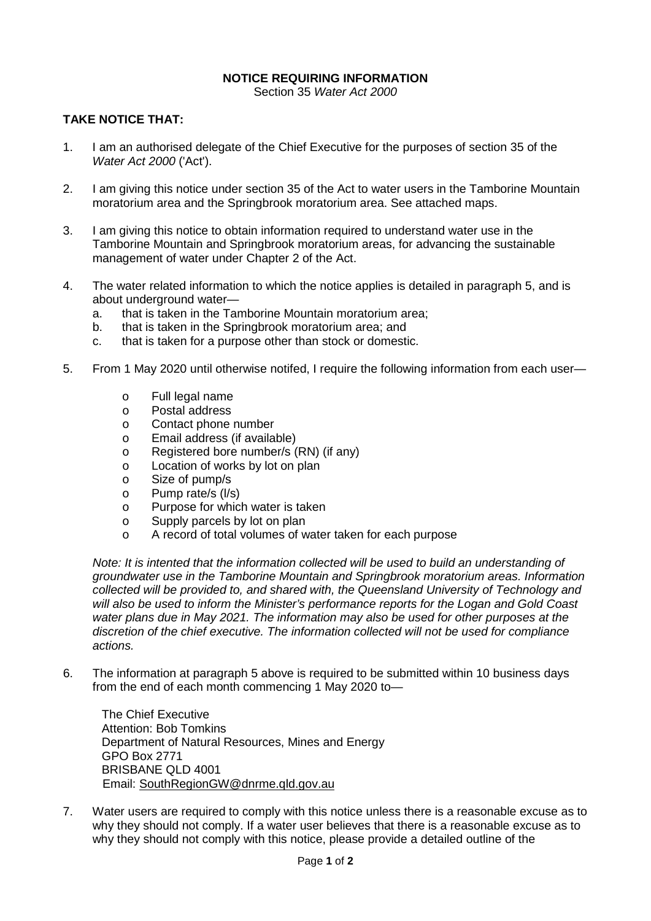## **NOTICE REQUIRING INFORMATION**

Section 35 *Water Act 2000*

## **TAKE NOTICE THAT:**

- 1. I am an authorised delegate of the Chief Executive for the purposes of section 35 of the *Water Act 2000* ('Act').
- 2. I am giving this notice under section 35 of the Act to water users in the Tamborine Mountain moratorium area and the Springbrook moratorium area. See attached maps.
- 3. I am giving this notice to obtain information required to understand water use in the Tamborine Mountain and Springbrook moratorium areas, for advancing the sustainable management of water under Chapter 2 of the Act.
- 4. The water related information to which the notice applies is detailed in paragraph 5, and is about underground water
	- a. that is taken in the Tamborine Mountain moratorium area;
	- b. that is taken in the Springbrook moratorium area; and
	- c. that is taken for a purpose other than stock or domestic.
- 5. From 1 May 2020 until otherwise notifed, I require the following information from each user
	- o Full legal name<br>o Postal address
	- o Postal address<br>o Contact phone
	- Contact phone number
	- o Email address (if available)
	- o Registered bore number/s (RN) (if any)
	- o Location of works by lot on plan
	- o Size of pump/s
	- o Pump rate/s (I/s)<br>o Purpose for whic
	- o Purpose for which water is taken<br>
	o Supply parcels by lot on plan
	- o Supply parcels by lot on plan<br>
	A record of total volumes of w
	- A record of total volumes of water taken for each purpose

*Note: It is intented that the information collected will be used to build an understanding of groundwater use in the Tamborine Mountain and Springbrook moratorium areas. Information collected will be provided to, and shared with, the Queensland University of Technology and will also be used to inform the Minister's performance reports for the Logan and Gold Coast water plans due in May 2021. The information may also be used for other purposes at the discretion of the chief executive. The information collected will not be used for compliance actions.*

6. The information at paragraph 5 above is required to be submitted within 10 business days from the end of each month commencing 1 May 2020 to—

The Chief Executive Attention: Bob Tomkins Department of Natural Resources, Mines and Energy GPO Box 2771 BRISBANE QLD 4001 Email: [SouthRegionGW@dnrme.qld.gov.au](mailto:SouthRegionGW@dnrme.qld.gov.au)

7. Water users are required to comply with this notice unless there is a reasonable excuse as to why they should not comply. If a water user believes that there is a reasonable excuse as to why they should not comply with this notice, please provide a detailed outline of the